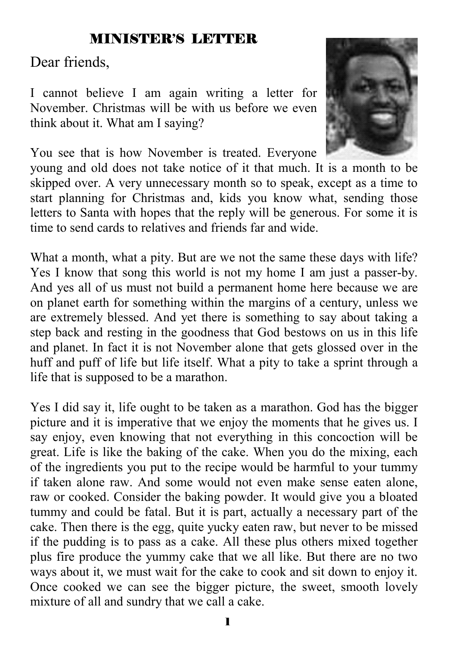## MINISTER'S LETTER

Dear friends,

I cannot believe I am again writing a letter for November. Christmas will be with us before we even think about it. What am I saying?



You see that is how November is treated. Everyone

young and old does not take notice of it that much. It is a month to be skipped over. A very unnecessary month so to speak, except as a time to start planning for Christmas and, kids you know what, sending those letters to Santa with hopes that the reply will be generous. For some it is time to send cards to relatives and friends far and wide.

What a month, what a pity. But are we not the same these days with life? Yes I know that song this world is not my home I am just a passer-by. And yes all of us must not build a permanent home here because we are on planet earth for something within the margins of a century, unless we are extremely blessed. And yet there is something to say about taking a step back and resting in the goodness that God bestows on us in this life and planet. In fact it is not November alone that gets glossed over in the huff and puff of life but life itself. What a pity to take a sprint through a life that is supposed to be a marathon.

Yes I did say it, life ought to be taken as a marathon. God has the bigger picture and it is imperative that we enjoy the moments that he gives us. I say enjoy, even knowing that not everything in this concoction will be great. Life is like the baking of the cake. When you do the mixing, each of the ingredients you put to the recipe would be harmful to your tummy if taken alone raw. And some would not even make sense eaten alone, raw or cooked. Consider the baking powder. It would give you a bloated tummy and could be fatal. But it is part, actually a necessary part of the cake. Then there is the egg, quite yucky eaten raw, but never to be missed if the pudding is to pass as a cake. All these plus others mixed together plus fire produce the yummy cake that we all like. But there are no two ways about it, we must wait for the cake to cook and sit down to enjoy it. Once cooked we can see the bigger picture, the sweet, smooth lovely mixture of all and sundry that we call a cake.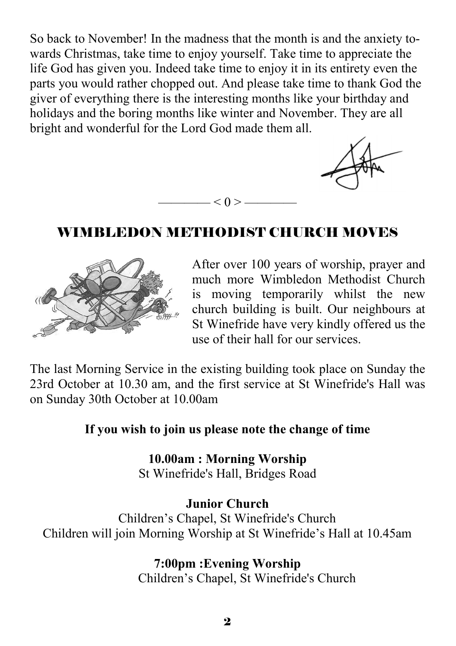So back to November! In the madness that the month is and the anxiety towards Christmas, take time to enjoy yourself. Take time to appreciate the life God has given you. Indeed take time to enjoy it in its entirety even the parts you would rather chopped out. And please take time to thank God the giver of everything there is the interesting months like your birthday and holidays and the boring months like winter and November. They are all bright and wonderful for the Lord God made them all.



## WIMBLEDON METHODIST CHURCH MOVES

 $-< 0 > -$ 



After over 100 years of worship, prayer and much more Wimbledon Methodist Church is moving temporarily whilst the new church building is built. Our neighbours at St Winefride have very kindly offered us the use of their hall for our services.

The last Morning Service in the existing building took place on Sunday the 23rd October at 10.30 am, and the first service at St Winefride's Hall was on Sunday 30th October at 10.00am

#### **If you wish to join us please note the change of time**

**10.00am : Morning Worship** St Winefride's Hall, Bridges Road

#### **Junior Church**

Children's Chapel, St Winefride's Church Children will join Morning Worship at St Winefride's Hall at 10.45am

**7:00pm :Evening Worship** 

Children's Chapel, St Winefride's Church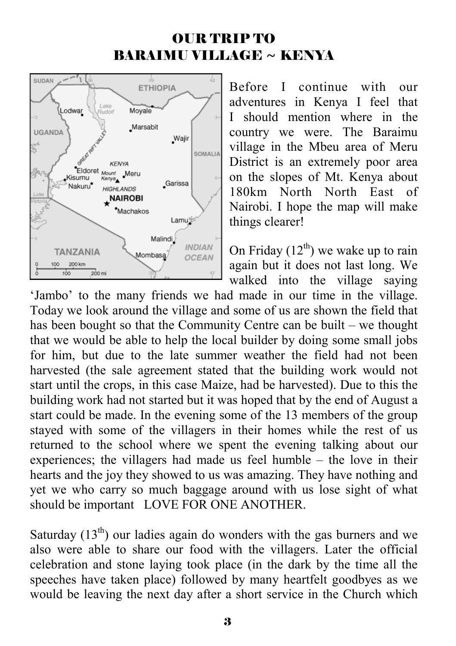## OUR TRIP TO BARAIMU VILLAGE ~ KENYA



Before I continue with our adventures in Kenya I feel that I should mention where in the country we were. The Baraimu village in the Mbeu area of Meru District is an extremely poor area on the slopes of Mt. Kenya about 180km North North East of Nairobi. I hope the map will make things clearer!

On Friday  $(12<sup>th</sup>)$  we wake up to rain again but it does not last long. We walked into the village saying

'Jambo' to the many friends we had made in our time in the village. Today we look around the village and some of us are shown the field that has been bought so that the Community Centre can be built – we thought that we would be able to help the local builder by doing some small jobs for him, but due to the late summer weather the field had not been harvested (the sale agreement stated that the building work would not start until the crops, in this case Maize, had be harvested). Due to this the building work had not started but it was hoped that by the end of August a start could be made. In the evening some of the 13 members of the group stayed with some of the villagers in their homes while the rest of us returned to the school where we spent the evening talking about our experiences; the villagers had made us feel humble – the love in their hearts and the joy they showed to us was amazing. They have nothing and yet we who carry so much baggage around with us lose sight of what should be important LOVE FOR ONE ANOTHER.

Saturday  $(13<sup>th</sup>)$  our ladies again do wonders with the gas burners and we also were able to share our food with the villagers. Later the official celebration and stone laying took place (in the dark by the time all the speeches have taken place) followed by many heartfelt goodbyes as we would be leaving the next day after a short service in the Church which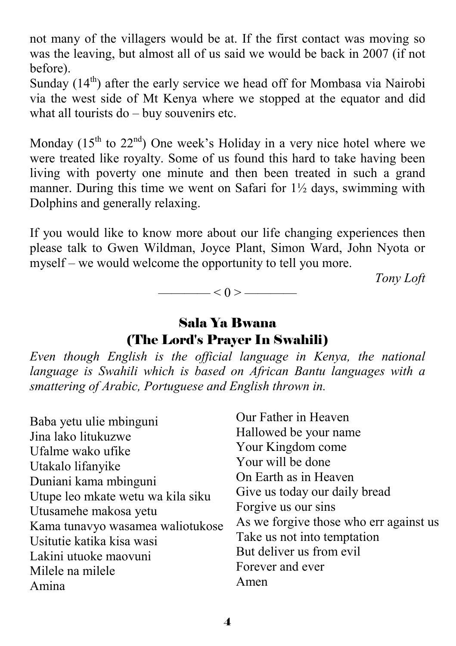not many of the villagers would be at. If the first contact was moving so was the leaving, but almost all of us said we would be back in 2007 (if not before).

Sunday  $(14<sup>th</sup>)$  after the early service we head off for Mombasa via Nairobi via the west side of Mt Kenya where we stopped at the equator and did what all tourists do – buy souvenirs etc.

Monday  $(15<sup>th</sup>$  to  $22<sup>nd</sup>)$  One week's Holiday in a very nice hotel where we were treated like royalty. Some of us found this hard to take having been living with poverty one minute and then been treated in such a grand manner. During this time we went on Safari for  $1\frac{1}{2}$  days, swimming with Dolphins and generally relaxing.

If you would like to know more about our life changing experiences then please talk to Gwen Wildman, Joyce Plant, Simon Ward, John Nyota or myself – we would welcome the opportunity to tell you more.

 *Tony Loft* 

 $< 0 >$  ———————

## Sala Ya Bwana (The Lord's Prayer In Swahili)

*Even though English is the official language in Kenya, the national language is Swahili which is based on African Bantu languages with a smattering of Arabic, Portuguese and English thrown in.*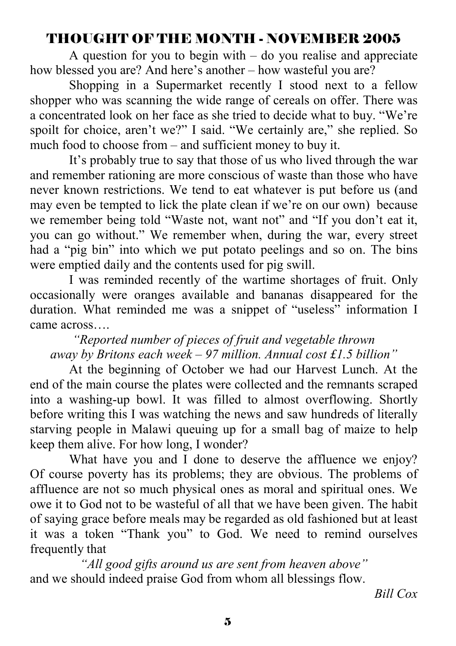## THOUGHT OF THE MONTH - NOVEMBER 2005

A question for you to begin with  $-$  do you realise and appreciate how blessed you are? And here's another – how wasteful you are?

 Shopping in a Supermarket recently I stood next to a fellow shopper who was scanning the wide range of cereals on offer. There was a concentrated look on her face as she tried to decide what to buy. "We're spoilt for choice, aren't we?" I said. "We certainly are," she replied. So much food to choose from – and sufficient money to buy it.

 It's probably true to say that those of us who lived through the war and remember rationing are more conscious of waste than those who have never known restrictions. We tend to eat whatever is put before us (and may even be tempted to lick the plate clean if we're on our own) because we remember being told "Waste not, want not" and "If you don't eat it, you can go without." We remember when, during the war, every street had a "pig bin" into which we put potato peelings and so on. The bins were emptied daily and the contents used for pig swill.

 I was reminded recently of the wartime shortages of fruit. Only occasionally were oranges available and bananas disappeared for the duration. What reminded me was a snippet of "useless" information I came across….

*"Reported number of pieces of fruit and vegetable thrown away by Britons each week – 97 million. Annual cost £1.5 billion"* 

 At the beginning of October we had our Harvest Lunch. At the end of the main course the plates were collected and the remnants scraped into a washing-up bowl. It was filled to almost overflowing. Shortly before writing this I was watching the news and saw hundreds of literally starving people in Malawi queuing up for a small bag of maize to help keep them alive. For how long, I wonder?

 What have you and I done to deserve the affluence we enjoy? Of course poverty has its problems; they are obvious. The problems of affluence are not so much physical ones as moral and spiritual ones. We owe it to God not to be wasteful of all that we have been given. The habit of saying grace before meals may be regarded as old fashioned but at least it was a token "Thank you" to God. We need to remind ourselves frequently that

*"All good gifts around us are sent from heaven above"*  and we should indeed praise God from whom all blessings flow.

*Bill Cox*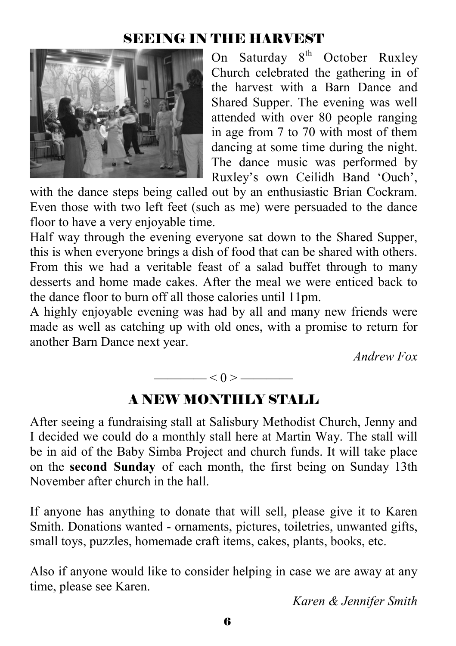## SEEING IN THE HARVEST



On Saturday  $8<sup>th</sup>$  October Ruxley Church celebrated the gathering in of the harvest with a Barn Dance and Shared Supper. The evening was well attended with over 80 people ranging in age from 7 to 70 with most of them dancing at some time during the night. The dance music was performed by Ruxley's own Ceilidh Band 'Ouch',

with the dance steps being called out by an enthusiastic Brian Cockram. Even those with two left feet (such as me) were persuaded to the dance floor to have a very enjoyable time.

Half way through the evening everyone sat down to the Shared Supper, this is when everyone brings a dish of food that can be shared with others. From this we had a veritable feast of a salad buffet through to many desserts and home made cakes. After the meal we were enticed back to the dance floor to burn off all those calories until 11pm.

A highly enjoyable evening was had by all and many new friends were made as well as catching up with old ones, with a promise to return for another Barn Dance next year.

*Andrew Fox* 



### A NEW MONTHLY STALL

After seeing a fundraising stall at Salisbury Methodist Church, Jenny and I decided we could do a monthly stall here at Martin Way. The stall will be in aid of the Baby Simba Project and church funds. It will take place on the **second Sunday** of each month, the first being on Sunday 13th November after church in the hall.

If anyone has anything to donate that will sell, please give it to Karen Smith. Donations wanted - ornaments, pictures, toiletries, unwanted gifts, small toys, puzzles, homemade craft items, cakes, plants, books, etc.

Also if anyone would like to consider helping in case we are away at any time, please see Karen.

*Karen & Jennifer Smith*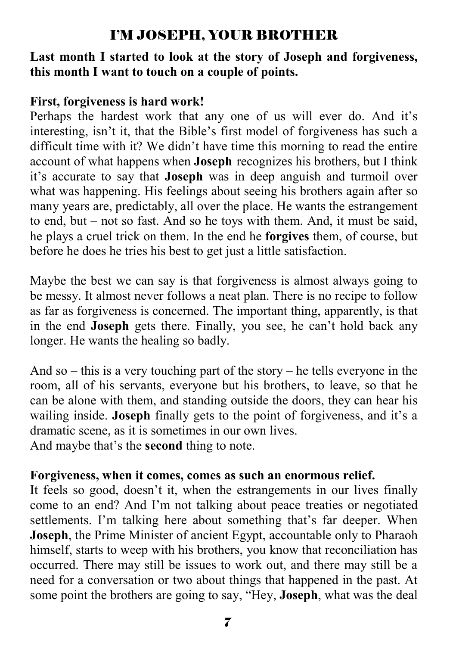## I'M JOSEPH, YOUR BROTHER

#### **Last month I started to look at the story of Joseph and forgiveness, this month I want to touch on a couple of points.**

#### **First, forgiveness is hard work!**

Perhaps the hardest work that any one of us will ever do. And it's interesting, isn't it, that the Bible's first model of forgiveness has such a difficult time with it? We didn't have time this morning to read the entire account of what happens when **Joseph** recognizes his brothers, but I think it's accurate to say that **Joseph** was in deep anguish and turmoil over what was happening. His feelings about seeing his brothers again after so many years are, predictably, all over the place. He wants the estrangement to end, but – not so fast. And so he toys with them. And, it must be said, he plays a cruel trick on them. In the end he **forgives** them, of course, but before he does he tries his best to get just a little satisfaction.

Maybe the best we can say is that forgiveness is almost always going to be messy. It almost never follows a neat plan. There is no recipe to follow as far as forgiveness is concerned. The important thing, apparently, is that in the end **Joseph** gets there. Finally, you see, he can't hold back any longer. He wants the healing so badly.

And so – this is a very touching part of the story – he tells everyone in the room, all of his servants, everyone but his brothers, to leave, so that he can be alone with them, and standing outside the doors, they can hear his wailing inside. **Joseph** finally gets to the point of forgiveness, and it's a dramatic scene, as it is sometimes in our own lives.

And maybe that's the **second** thing to note.

#### **Forgiveness, when it comes, comes as such an enormous relief.**

It feels so good, doesn't it, when the estrangements in our lives finally come to an end? And I'm not talking about peace treaties or negotiated settlements. I'm talking here about something that's far deeper. When **Joseph**, the Prime Minister of ancient Egypt, accountable only to Pharaoh himself, starts to weep with his brothers, you know that reconciliation has occurred. There may still be issues to work out, and there may still be a need for a conversation or two about things that happened in the past. At some point the brothers are going to say, "Hey, **Joseph**, what was the deal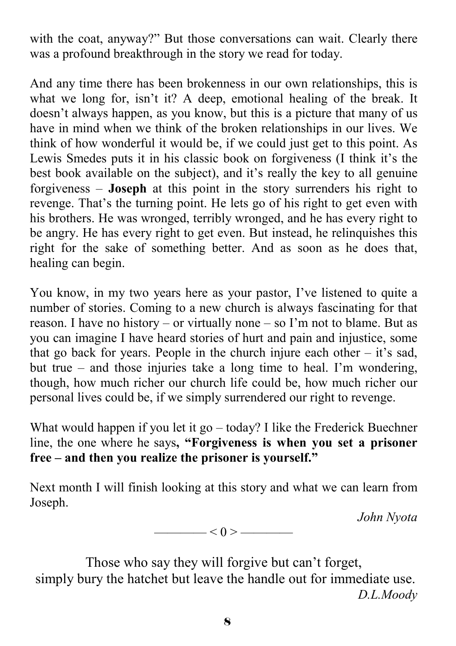with the coat, anyway?" But those conversations can wait. Clearly there was a profound breakthrough in the story we read for today.

And any time there has been brokenness in our own relationships, this is what we long for, isn't it? A deep, emotional healing of the break. It doesn't always happen, as you know, but this is a picture that many of us have in mind when we think of the broken relationships in our lives. We think of how wonderful it would be, if we could just get to this point. As Lewis Smedes puts it in his classic book on forgiveness (I think it's the best book available on the subject), and it's really the key to all genuine forgiveness – **Joseph** at this point in the story surrenders his right to revenge. That's the turning point. He lets go of his right to get even with his brothers. He was wronged, terribly wronged, and he has every right to be angry. He has every right to get even. But instead, he relinquishes this right for the sake of something better. And as soon as he does that, healing can begin.

You know, in my two years here as your pastor, I've listened to quite a number of stories. Coming to a new church is always fascinating for that reason. I have no history – or virtually none – so I'm not to blame. But as you can imagine I have heard stories of hurt and pain and injustice, some that go back for years. People in the church injure each other  $-$  it's sad, but true – and those injuries take a long time to heal. I'm wondering, though, how much richer our church life could be, how much richer our personal lives could be, if we simply surrendered our right to revenge.

What would happen if you let it go – today? I like the Frederick Buechner line, the one where he says**, "Forgiveness is when you set a prisoner free – and then you realize the prisoner is yourself."** 

Next month I will finish looking at this story and what we can learn from Joseph.

*John Nyota* 



Those who say they will forgive but can't forget, simply bury the hatchet but leave the handle out for immediate use. *D.L.Moody*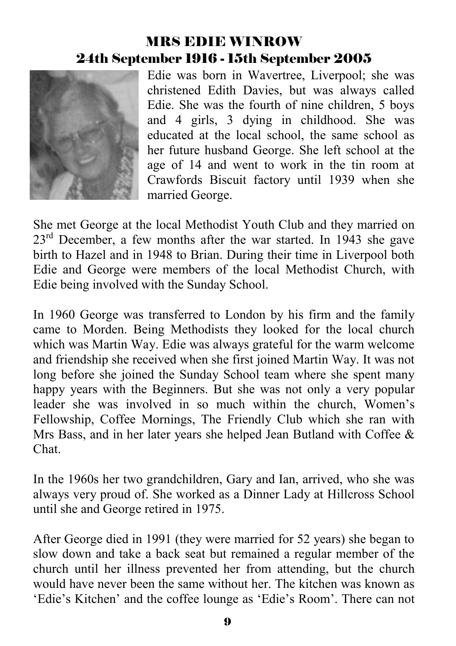# MRS EDIE WINROW 24th September 1916 - 15th September 2005



Edie was born in Wavertree, Liverpool; she was christened Edith Davies, but was always called Edie. She was the fourth of nine children, 5 boys and 4 girls, 3 dying in childhood. She was educated at the local school, the same school as her future husband George. She left school at the age of 14 and went to work in the tin room at Crawfords Biscuit factory until 1939 when she married George.

She met George at the local Methodist Youth Club and they married on 23<sup>rd</sup> December, a few months after the war started. In 1943 she gave birth to Hazel and in 1948 to Brian. During their time in Liverpool both Edie and George were members of the local Methodist Church, with Edie being involved with the Sunday School.

In 1960 George was transferred to London by his firm and the family came to Morden. Being Methodists they looked for the local church which was Martin Way. Edie was always grateful for the warm welcome and friendship she received when she first joined Martin Way. It was not long before she joined the Sunday School team where she spent many happy years with the Beginners. But she was not only a very popular leader she was involved in so much within the church, Women's Fellowship, Coffee Mornings, The Friendly Club which she ran with Mrs Bass, and in her later years she helped Jean Butland with Coffee  $\&$ Chat.

In the 1960s her two grandchildren, Gary and Ian, arrived, who she was always very proud of. She worked as a Dinner Lady at Hillcross School until she and George retired in 1975.

After George died in 1991 (they were married for 52 years) she began to slow down and take a back seat but remained a regular member of the church until her illness prevented her from attending, but the church would have never been the same without her. The kitchen was known as 'Edie's Kitchen' and the coffee lounge as 'Edie's Room'. There can not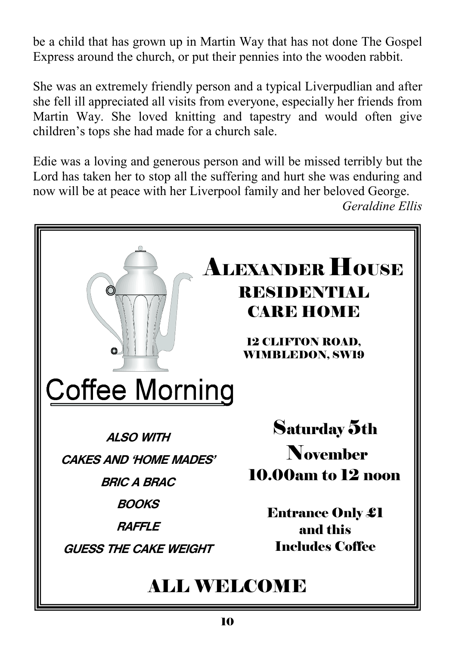be a child that has grown up in Martin Way that has not done The Gospel Express around the church, or put their pennies into the wooden rabbit.

She was an extremely friendly person and a typical Liverpudlian and after she fell ill appreciated all visits from everyone, especially her friends from Martin Way. She loved knitting and tapestry and would often give children's tops she had made for a church sale.

Edie was a loving and generous person and will be missed terribly but the Lord has taken her to stop all the suffering and hurt she was enduring and now will be at peace with her Liverpool family and her beloved George.

*Geraldine Ellis*

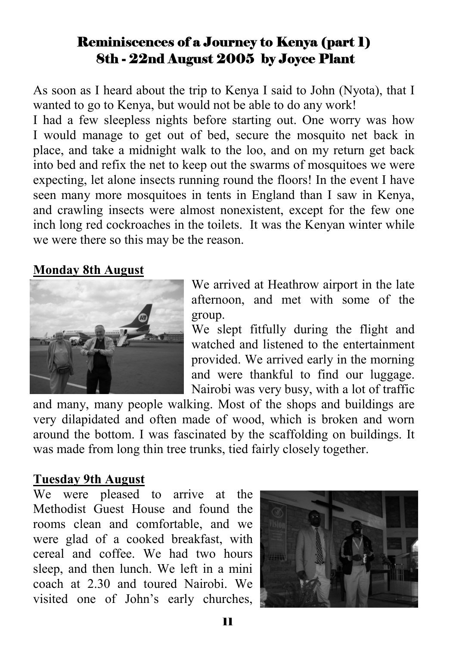### Reminiscences of a Journey to Kenya (part 1) 8th - 22nd August 2005 by Joyce Plant

As soon as I heard about the trip to Kenya I said to John (Nyota), that I wanted to go to Kenya, but would not be able to do any work!

I had a few sleepless nights before starting out. One worry was how I would manage to get out of bed, secure the mosquito net back in place, and take a midnight walk to the loo, and on my return get back into bed and refix the net to keep out the swarms of mosquitoes we were expecting, let alone insects running round the floors! In the event I have seen many more mosquitoes in tents in England than I saw in Kenya, and crawling insects were almost nonexistent, except for the few one inch long red cockroaches in the toilets. It was the Kenyan winter while we were there so this may be the reason.

#### **Monday 8th August**



We arrived at Heathrow airport in the late afternoon, and met with some of the group.

We slept fitfully during the flight and watched and listened to the entertainment provided. We arrived early in the morning and were thankful to find our luggage. Nairobi was very busy, with a lot of traffic

and many, many people walking. Most of the shops and buildings are very dilapidated and often made of wood, which is broken and worn around the bottom. I was fascinated by the scaffolding on buildings. It was made from long thin tree trunks, tied fairly closely together.

#### **Tuesday 9th August**

We were pleased to arrive at the Methodist Guest House and found the rooms clean and comfortable, and we were glad of a cooked breakfast, with cereal and coffee. We had two hours sleep, and then lunch. We left in a mini coach at 2.30 and toured Nairobi. We visited one of John's early churches,

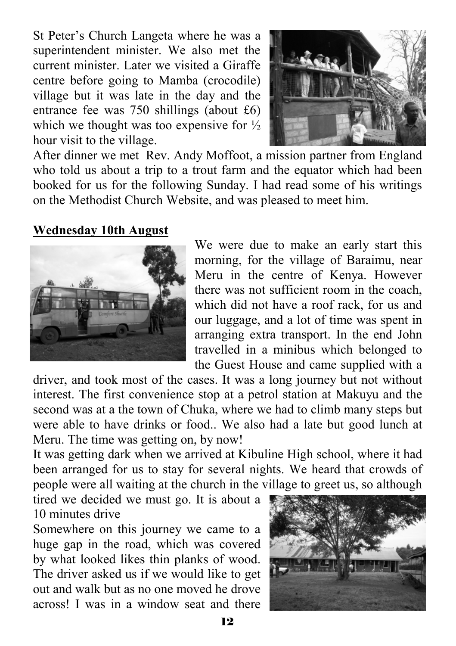St Peter's Church Langeta where he was a superintendent minister. We also met the current minister. Later we visited a Giraffe centre before going to Mamba (crocodile) village but it was late in the day and the entrance fee was 750 shillings (about £6) which we thought was too expensive for  $\frac{1}{2}$ hour visit to the village.



After dinner we met Rev. Andy Moffoot, a mission partner from England who told us about a trip to a trout farm and the equator which had been booked for us for the following Sunday. I had read some of his writings on the Methodist Church Website, and was pleased to meet him.

#### **Wednesday 10th August**



We were due to make an early start this morning, for the village of Baraimu, near Meru in the centre of Kenya. However there was not sufficient room in the coach, which did not have a roof rack, for us and our luggage, and a lot of time was spent in arranging extra transport. In the end John travelled in a minibus which belonged to the Guest House and came supplied with a

driver, and took most of the cases. It was a long journey but not without interest. The first convenience stop at a petrol station at Makuyu and the second was at a the town of Chuka, where we had to climb many steps but were able to have drinks or food.. We also had a late but good lunch at Meru. The time was getting on, by now!

It was getting dark when we arrived at Kibuline High school, where it had been arranged for us to stay for several nights. We heard that crowds of people were all waiting at the church in the village to greet us, so although

tired we decided we must go. It is about a 10 minutes drive

Somewhere on this journey we came to a huge gap in the road, which was covered by what looked likes thin planks of wood. The driver asked us if we would like to get out and walk but as no one moved he drove across! I was in a window seat and there

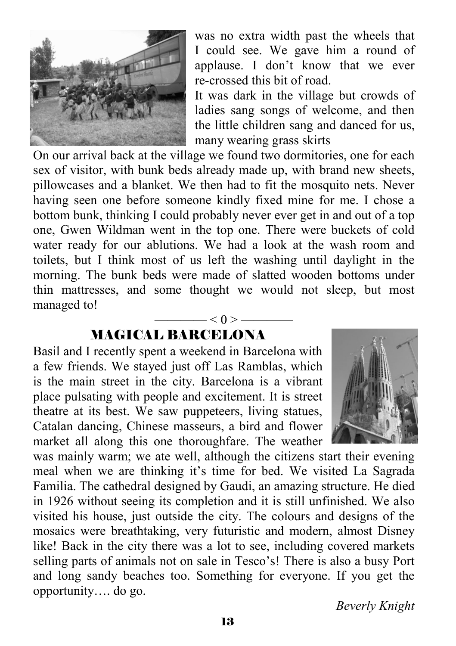

was no extra width past the wheels that I could see. We gave him a round of applause. I don't know that we ever re-crossed this bit of road.

It was dark in the village but crowds of ladies sang songs of welcome, and then the little children sang and danced for us, many wearing grass skirts

On our arrival back at the village we found two dormitories, one for each sex of visitor, with bunk beds already made up, with brand new sheets, pillowcases and a blanket. We then had to fit the mosquito nets. Never having seen one before someone kindly fixed mine for me. I chose a bottom bunk, thinking I could probably never ever get in and out of a top one, Gwen Wildman went in the top one. There were buckets of cold water ready for our ablutions. We had a look at the wash room and toilets, but I think most of us left the washing until daylight in the morning. The bunk beds were made of slatted wooden bottoms under thin mattresses, and some thought we would not sleep, but most managed to!

 $- < 0 >$  —

# MAGICAL BARCELONA

Basil and I recently spent a weekend in Barcelona with a few friends. We stayed just off Las Ramblas, which is the main street in the city. Barcelona is a vibrant place pulsating with people and excitement. It is street theatre at its best. We saw puppeteers, living statues, Catalan dancing, Chinese masseurs, a bird and flower market all along this one thoroughfare. The weather



was mainly warm; we ate well, although the citizens start their evening meal when we are thinking it's time for bed. We visited La Sagrada Familia. The cathedral designed by Gaudi, an amazing structure. He died in 1926 without seeing its completion and it is still unfinished. We also visited his house, just outside the city. The colours and designs of the mosaics were breathtaking, very futuristic and modern, almost Disney like! Back in the city there was a lot to see, including covered markets selling parts of animals not on sale in Tesco's! There is also a busy Port and long sandy beaches too. Something for everyone. If you get the opportunity…. do go.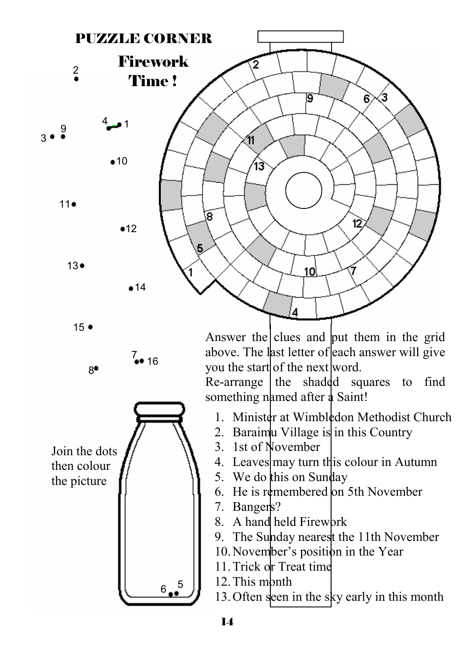

 $15 -$ 

8●

7<br>●● 16

Join the dots then colour the picture

Answer the clues and put them in the grid above. The last letter of each answer will give you the start of the next word.

Re-arrange  $\theta$  the shadded squares to find something named after a Saint!

- 1. Minister at Wimbledon Methodist Church
- 2. Baraimu Village is in this Country
- 3. 1st of November
- 4. Leaves may turn this colour in Autumn
- 5. We do this on Sunday
- 6. He is remembered on 5th November
- 7. Bangers?
- 8. A hand held Firework
- 9. The Sunday nearest the 11th November
- 10. November's position in the Year
- 11. Trick or Treat time
- 12. This mbnth

13. Often seen in the sky early in this month

 $6^{5}$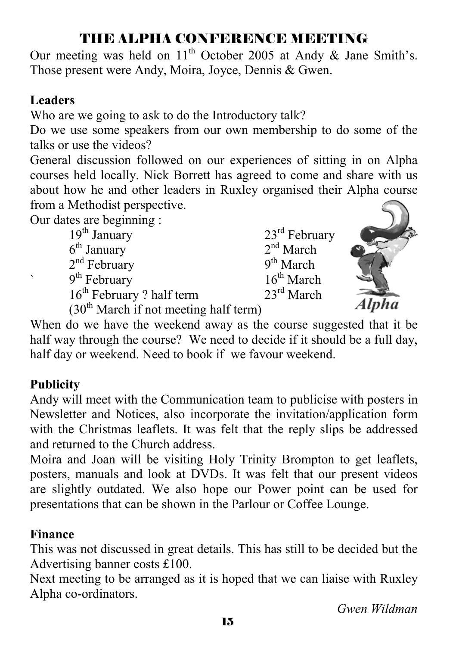## THE ALPHA CONFERENCE MEETING

Our meeting was held on  $11<sup>th</sup>$  October 2005 at Andy & Jane Smith's. Those present were Andy, Moira, Joyce, Dennis & Gwen.

### **Leaders**

Who are we going to ask to do the Introductory talk?

Do we use some speakers from our own membership to do some of the talks or use the videos?

General discussion followed on our experiences of sitting in on Alpha courses held locally. Nick Borrett has agreed to come and share with us about how he and other leaders in Ruxley organised their Alpha course from a Methodist perspective.

Our dates are beginning :

 $19^{th}$  January  $6^{th}$  January  $23^{rd}$  February  $2^{nd}$  March  $6^{\text{th}}$  January 2<sup>nd</sup> March<br>  $2^{\text{nd}}$  February 9<sup>th</sup> March  $2<sup>nd</sup>$  February  $9<sup>th</sup>$  February 2 half term  $16<sup>th</sup>$  March  $23<sup>rd</sup>$  March  $16<sup>th</sup>$  February ? half term



 $(30<sup>th</sup> March if not meeting half term)$ 

When do we have the weekend away as the course suggested that it be half way through the course? We need to decide if it should be a full day, half day or weekend. Need to book if we favour weekend.

## **Publicity**

Andy will meet with the Communication team to publicise with posters in Newsletter and Notices, also incorporate the invitation/application form with the Christmas leaflets. It was felt that the reply slips be addressed and returned to the Church address.

Moira and Joan will be visiting Holy Trinity Brompton to get leaflets, posters, manuals and look at DVDs. It was felt that our present videos are slightly outdated. We also hope our Power point can be used for presentations that can be shown in the Parlour or Coffee Lounge.

## **Finance**

This was not discussed in great details. This has still to be decided but the Advertising banner costs £100.

Next meeting to be arranged as it is hoped that we can liaise with Ruxley Alpha co-ordinators.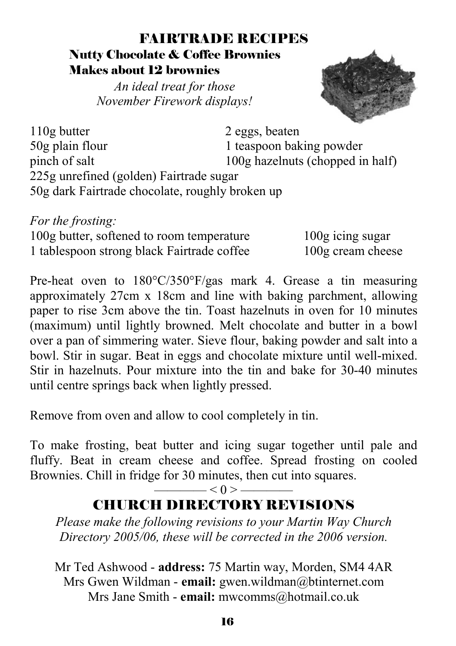### FAIRTRADE RECIPES Nutty Chocolate & Coffee Brownies Makes about 12 brownies

*An ideal treat for those November Firework displays!* 



110g butter 2 eggs, beaten 50g plain flour 1 teaspoon baking powder pinch of salt 100g hazelnuts (chopped in half) 225g unrefined (golden) Fairtrade sugar 50g dark Fairtrade chocolate, roughly broken up

*For the frosting:* 100g butter, softened to room temperature 100g icing sugar 1 tablespoon strong black Fairtrade coffee 100g cream cheese

Pre-heat oven to 180°C/350°F/gas mark 4. Grease a tin measuring approximately 27cm x 18cm and line with baking parchment, allowing paper to rise 3cm above the tin. Toast hazelnuts in oven for 10 minutes (maximum) until lightly browned. Melt chocolate and butter in a bowl over a pan of simmering water. Sieve flour, baking powder and salt into a bowl. Stir in sugar. Beat in eggs and chocolate mixture until well-mixed. Stir in hazelnuts. Pour mixture into the tin and bake for 30-40 minutes until centre springs back when lightly pressed.

Remove from oven and allow to cool completely in tin.

To make frosting, beat butter and icing sugar together until pale and fluffy. Beat in cream cheese and coffee. Spread frosting on cooled Brownies. Chill in fridge for 30 minutes, then cut into squares.

### $\longrightarrow$  < 0 >  $\longrightarrow$ CHURCH DIRECTORY REVISIONS

*Please make the following revisions to your Martin Way Church Directory 2005/06, these will be corrected in the 2006 version.* 

Mr Ted Ashwood - **address:** 75 Martin way, Morden, SM4 4AR Mrs Gwen Wildman - **email:** gwen.wildman@btinternet.com Mrs Jane Smith - **email:** mwcomms@hotmail.co.uk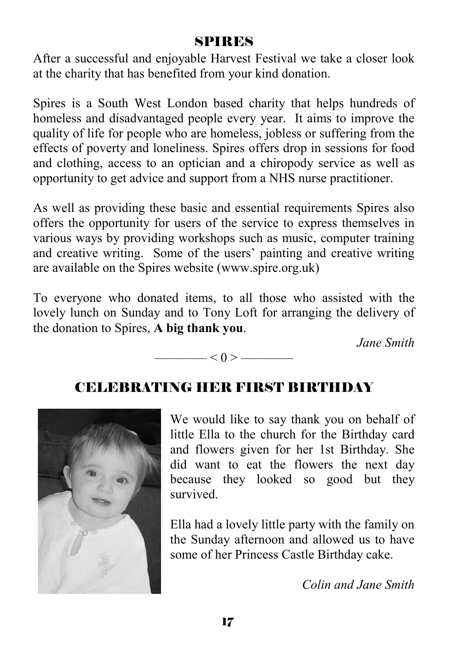## SPIRES

After a successful and enjoyable Harvest Festival we take a closer look at the charity that has benefited from your kind donation.

Spires is a South West London based charity that helps hundreds of homeless and disadvantaged people every year. It aims to improve the quality of life for people who are homeless, jobless or suffering from the effects of poverty and loneliness. Spires offers drop in sessions for food and clothing, access to an optician and a chiropody service as well as opportunity to get advice and support from a NHS nurse practitioner.

As well as providing these basic and essential requirements Spires also offers the opportunity for users of the service to express themselves in various ways by providing workshops such as music, computer training and creative writing. Some of the users' painting and creative writing are available on the Spires website (www.spire.org.uk)

To everyone who donated items, to all those who assisted with the lovely lunch on Sunday and to Tony Loft for arranging the delivery of the donation to Spires, **A big thank you**.

*Jane Smith* 

#### $< 0 >$  ——

## CELEBRATING HER FIRST BIRTHDAY



We would like to say thank you on behalf of little Ella to the church for the Birthday card and flowers given for her 1st Birthday. She did want to eat the flowers the next day because they looked so good but they survived.

Ella had a lovely little party with the family on the Sunday afternoon and allowed us to have some of her Princess Castle Birthday cake.

*Colin and Jane Smith*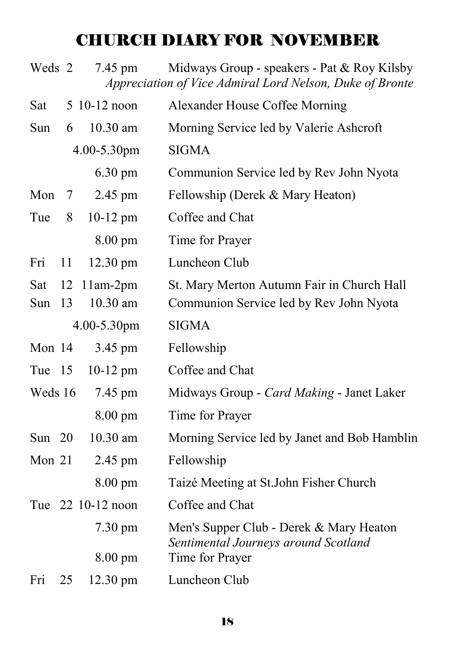# CHURCH DIARY FOR NOVEMBER

| Weds 2   |    | 7.45 pm           | Midways Group - speakers - Pat & Roy Kilsby<br>Appreciation of Vice Admiral Lord Nelson, Duke of Bronte |
|----------|----|-------------------|---------------------------------------------------------------------------------------------------------|
| Sat      |    | 5 10-12 noon      | Alexander House Coffee Morning                                                                          |
| Sun      | 6  | $10.30$ am        | Morning Service led by Valerie Ashcroft                                                                 |
|          |    | 4.00-5.30pm       | <b>SIGMA</b>                                                                                            |
|          |    | $6.30 \text{ pm}$ | Communion Service led by Rev John Nyota                                                                 |
| Mon      | 7  | 2.45 pm           | Fellowship (Derek & Mary Heaton)                                                                        |
| Tue      | 8  | $10-12$ pm        | Coffee and Chat                                                                                         |
|          |    | $8.00 \text{ pm}$ | Time for Prayer                                                                                         |
| Fri      | 11 | 12.30 pm          | Luncheon Club                                                                                           |
| Sat      | 12 | $11am-2pm$        | St. Mary Merton Autumn Fair in Church Hall                                                              |
| Sun      | 13 | 10.30 am          | Communion Service led by Rev John Nyota                                                                 |
|          |    | 4.00-5.30pm       | <b>SIGMA</b>                                                                                            |
| Mon 14   |    | 3.45 pm           | Fellowship                                                                                              |
| Tue 15   |    | $10-12$ pm        | Coffee and Chat                                                                                         |
| Weds 16  |    | 7.45 pm           | Midways Group - Card Making - Janet Laker                                                               |
|          |    | $8.00 \text{ pm}$ | Time for Prayer                                                                                         |
| Sun $20$ |    | 10.30 am          | Morning Service led by Janet and Bob Hamblin                                                            |
| Mon 21   |    | 2.45 pm           | Fellowship                                                                                              |
|          |    | 8.00 pm           | Taizé Meeting at St.John Fisher Church                                                                  |
|          |    | Tue 22 10-12 noon | Coffee and Chat                                                                                         |
|          |    | $7.30 \text{ pm}$ | Men's Supper Club - Derek & Mary Heaton<br>Sentimental Journeys around Scotland                         |
|          |    | $8.00 \text{ pm}$ | Time for Prayer                                                                                         |
| Fri      | 25 | 12.30 pm          | Luncheon Club                                                                                           |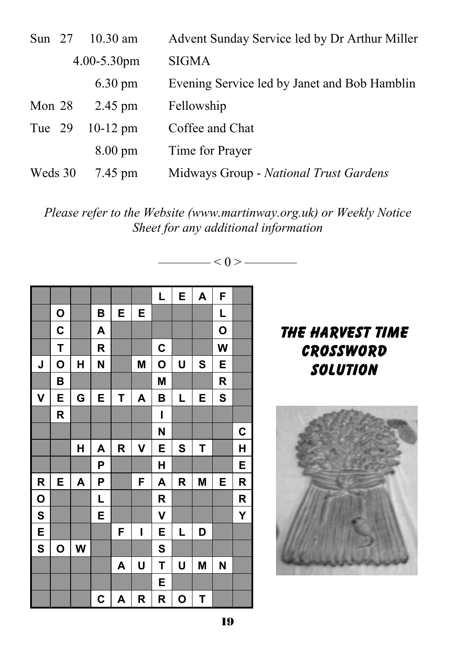| Sun $27$ | $10.30$ am        | Advent Sunday Service led by Dr Arthur Miller |
|----------|-------------------|-----------------------------------------------|
|          | $4.00 - 5.30$ pm  | <b>SIGMA</b>                                  |
|          | $6.30 \text{ pm}$ | Evening Service led by Janet and Bob Hamblin  |
| Mon $28$ | $2.45$ pm         | Fellowship                                    |
| Tue 29   | $10-12$ pm        | Coffee and Chat                               |
|          | $8.00 \text{ pm}$ | Time for Prayer                               |
| Weds 30  | 7.45 pm           | Midways Group - National Trust Gardens        |

*Please refer to the Website (www.martinway.org.uk) or Weekly Notice Sheet for any additional information* 

———— < 0 > ————



19